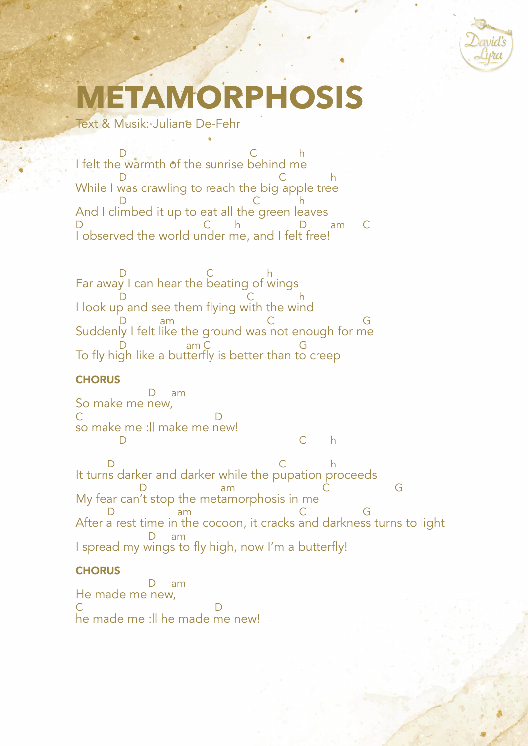

# **TAMORPHOS**

Text & Musik: Juliane De-Fehr

I felt the warmth of the sunrise behind me While I was crawling to reach the big apple tree And I climbed it up to eat all the green leaves I observed the world under me, and I felt free!  $D$   $C$  h D Research C has been considered by the D research of the D research of the D research of the D research of the  $C$ D c h D C h D am C

Far away I can hear the beating of wings I look up and see them flying with the wind Suddenly I felt like the ground was not enough for me To fly high like a butterfly is better than to creep D C h D c h D am C G  $D_{\text{tot}}$  am C G G

## **CHORUS**

So make me new, so make me :|| make me new! D C h D am C<sub>c</sub> D

It turns darker and darker while the pupation proceeds My fear can't stop the metamorphosis in me After a rest time in the cocoon, it cracks and darkness turns to light I spread my wings to fly high, now I'm a butterfly! D change of the C h D am C G D am C G D am

## **CHORUS**

He made me new, he made me :|| he made me new! D am C D